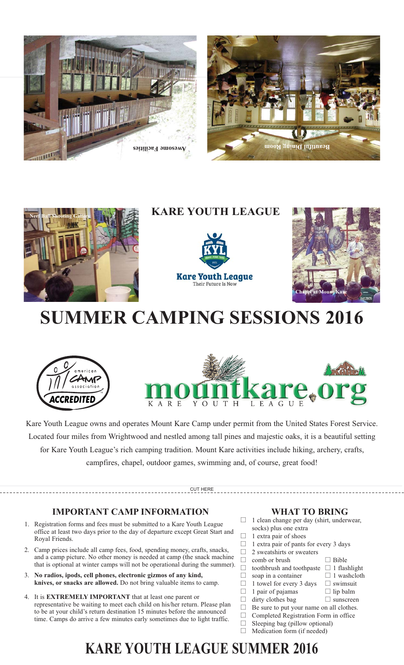





### **KARE YOUTH LEAGUE**





# **SUMMER CAMPING SESSIONS 2016**





Kare Youth League owns and operates Mount Kare Camp under permit from the United States Forest Service. Located four miles from Wrightwood and nestled among tall pines and majestic oaks, it is a beautiful setting for Kare Youth League's rich camping tradition. Mount Kare activities include hiking, archery, crafts, campfires, chapel, outdoor games, swimming and, of course, great food!

CUT HERE

### **IMPORTANT CAMP INFORMATION**

- 1. Registration forms and fees must be submitted to a Kare Youth League office at least two days prior to the day of departure except Great Start and Royal Friends.
- 2. Camp prices include all camp fees, food, spending money, crafts, snacks, and a camp picture. No other money is needed at camp (the snack machine that is optional at winter camps will not be operational during the summer).
- 3. **No radios, ipods, cell phones, electronic gizmos of any kind, knives, or snacks are allowed.** Do not bring valuable items to camp.
- 4. It is **EXTREMELY IMPORTANT** that at least one parent or representative be waiting to meet each child on his/her return. Please plan to be at your child's return destination 15 minutes before the announced time. Camps do arrive a few minutes early sometimes due to light traffic.

#### **WHAT TO BRING**

 $\Box$  Bible

 $\Box$  1 washcloth

 $\Box$  swimsuit

 $\Box$  lip balm

 $\Box$  sunscreen

- □ 1 clean change per day (shirt, underwear, socks) plus one extra
- $\Box$ 1 extra pair of shoes
- $\Box$ 1 extra pair of pants for every 3 days
- $\Box$ 2 sweatshirts or sweaters
- $\Box$ comb or brush
- $\Box$  $\Box$  toothbrush and toothpaste  $\Box$  1 flashlight
- $\Box$ soap in a container
- $\Box$ 1 towel for every 3 days -
- $\Box$ 1 pair of pajamas  $\Box$ 
	- dirty clothes bag
- $\Box$  Be sure to put your name on all clothes.  $\Box$
- Completed Registration Form in office  $\Box$ Sleeping bag (pillow optional)
- $\Box$  Siceping bag (phow optional

### **KARE YOUTH LEAGUE SUMMER 2016**